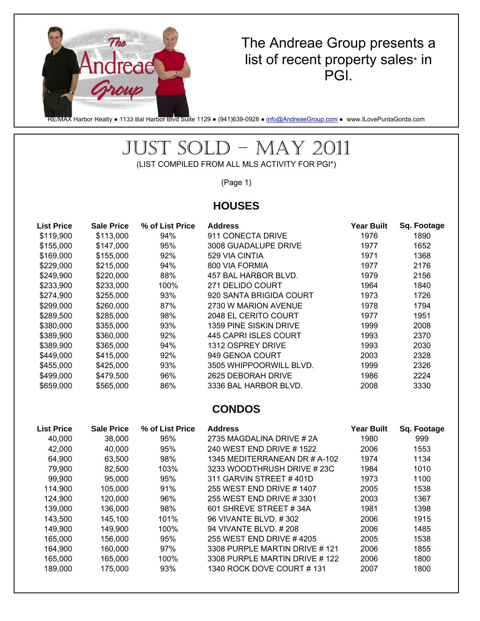

### The Andreae Group presents a list of recent property sales\* in PGI.

RE/MAX Harbor Realty • 1133 Bal Harbor Blvd Suite 1129 • (941)639-0928 • [info@AndreaeGroup.com](mailto:info@AndreaeGroup.com) • www.ILovePuntaGorda.com

# JUST SOLD – MAY 2011

(LIST COMPILED FROM ALL MLS ACTIVITY FOR PGI\*)

(Page 1)

#### **HOUSES**

| <b>List Price</b> | <b>Sale Price</b> | % of List Price | <b>Address</b>          | <b>Year Built</b> | Sq. Footage |
|-------------------|-------------------|-----------------|-------------------------|-------------------|-------------|
| \$119,900         | \$113,000         | 94%             | 911 CONECTA DRIVE       | 1976              | 1890        |
| \$155,000         | \$147,000         | 95%             | 3008 GUADALUPE DRIVE    | 1977              | 1652        |
| \$169,000         | \$155,000         | 92%             | 529 VIA CINTIA          | 1971              | 1368        |
| \$229,000         | \$215,000         | 94%             | 800 VIA FORMIA          | 1977              | 2176        |
| \$249,900         | \$220,000         | 88%             | 457 BAL HARBOR BLVD.    | 1979              | 2156        |
| \$233,900         | \$233,000         | 100%            | 271 DELIDO COURT        | 1964              | 1840        |
| \$274,900         | \$255,000         | 93%             | 920 SANTA BRIGIDA COURT | 1973              | 1726        |
| \$299,000         | \$260,000         | 87%             | 2730 W MARION AVENUE    | 1978              | 1794        |
| \$289,500         | \$285,000         | 98%             | 2048 EL CERITO COURT    | 1977              | 1951        |
| \$380,000         | \$355,000         | 93%             | 1359 PINE SISKIN DRIVE  | 1999              | 2008        |
| \$389,900         | \$360,000         | 92%             | 445 CAPRI ISLES COURT   | 1993              | 2370        |
| \$389,900         | \$365,000         | 94%             | 1312 OSPREY DRIVE       | 1993              | 2030        |
| \$449,000         | \$415,000         | 92%             | 949 GENOA COURT         | 2003              | 2328        |
| \$455,000         | \$425,000         | 93%             | 3505 WHIPPOORWILL BLVD. | 1999              | 2326        |
| \$499,000         | \$479,500         | 96%             | 2625 DEBORAH DRIVE      | 1986              | 2224        |
| \$659,000         | \$565,000         | 86%             | 3336 BAL HARBOR BLVD.   | 2008              | 3330        |

#### **CONDOS**

| <b>List Price</b> | <b>Sale Price</b> | % of List Price | <b>Address</b>                | <b>Year Built</b> | Sq. Footage |
|-------------------|-------------------|-----------------|-------------------------------|-------------------|-------------|
| 40,000            | 38,000            | 95%             | 2735 MAGDALINA DRIVE #2A      | 1980              | 999         |
| 42,000            | 40,000            | 95%             | 240 WEST END DRIVE #1522      | 2006              | 1553        |
| 64,900            | 63.500            | 98%             | 1345 MEDITERRANEAN DR # A-102 | 1974              | 1134        |
| 79,900            | 82.500            | 103%            | 3233 WOODTHRUSH DRIVE # 23C   | 1984              | 1010        |
| 99,900            | 95,000            | 95%             | 311 GARVIN STREET #401D       | 1973              | 1100        |
| 114,900           | 105,000           | 91%             | 255 WEST END DRIVE #1407      | 2005              | 1538        |
| 124,900           | 120,000           | 96%             | 255 WEST FND DRIVE #3301      | 2003              | 1367        |
| 139,000           | 136,000           | 98%             | 601 SHREVE STREET #34A        | 1981              | 1398        |
| 143.500           | 145.100           | 101%            | 96 VIVANTE BLVD, #302         | 2006              | 1915        |
| 149,900           | 149,900           | 100%            | 94 VIVANTE BLVD, #208         | 2006              | 1485        |
| 165,000           | 156,000           | 95%             | 255 WEST END DRIVE #4205      | 2005              | 1538        |
| 164.900           | 160,000           | 97%             | 3308 PURPLE MARTIN DRIVE #121 | 2006              | 1855        |
| 165,000           | 165,000           | 100%            | 3308 PURPLE MARTIN DRIVE #122 | 2006              | 1800        |
| 189,000           | 175,000           | 93%             | 1340 ROCK DOVE COURT#131      | 2007              | 1800        |